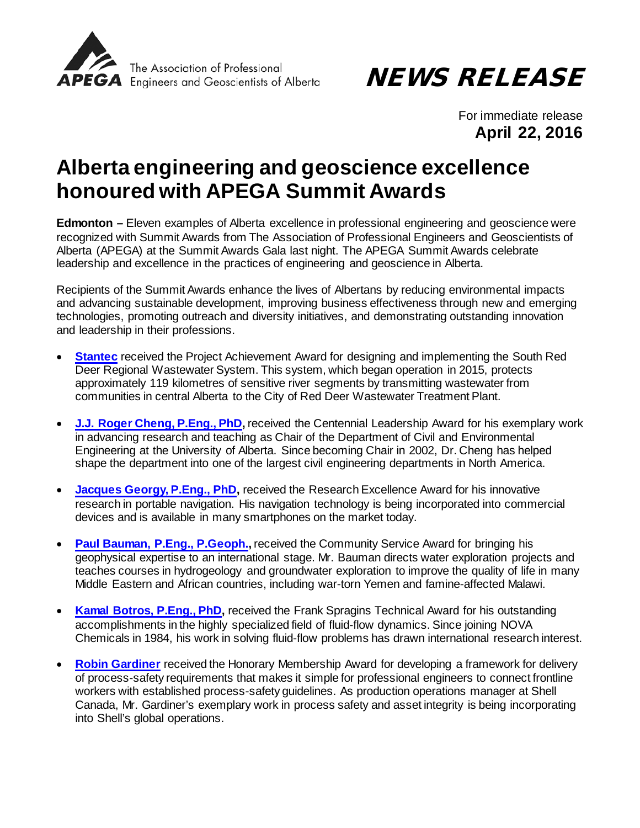

NEWS RELEASE

For immediate release **April 22, 2016**

## **Alberta engineering and geoscience excellence honoured with APEGA Summit Awards**

**Edmonton** *–* Eleven examples of Alberta excellence in professional engineering and geoscience were recognized with Summit Awards from The Association of Professional Engineers and Geoscientists of Alberta (APEGA) at the Summit Awards Gala last night. The APEGA Summit Awards celebrate leadership and excellence in the practices of engineering and geoscience in Alberta.

Recipients of the Summit Awards enhance the lives of Albertans by reducing environmental impacts and advancing sustainable development, improving business effectiveness through new and emerging technologies, promoting outreach and diversity initiatives, and demonstrating outstanding innovation and leadership in their professions.

- **[Stantec](http://apegasummit.ca/index.php?option=com_content&view=article&id=258)** received the Project Achievement Award for designing and implementing the South Red Deer Regional Wastewater System. This system, which began operation in 2015, protects approximately 119 kilometres of sensitive river segments by transmitting wastewater from communities in central Alberta to the City of Red Deer Wastewater Treatment Plant.
- **[J.J. Roger Cheng, P.Eng., PhD,](http://apegasummit.ca/index.php?option=com_content&view=article&id=250) received the Centennial Leadership Award for his exemplary work** in advancing research and teaching as Chair of the Department of Civil and Environmental Engineering at the University of Alberta. Since becoming Chair in 2002, Dr. Cheng has helped shape the department into one of the largest civil engineering departments in North America.
- **[Jacques Georgy, P.Eng., PhD,](http://apegasummit.ca/index.php/pdprogram/speakers?id=259)** received the Research Excellence Award for his innovative research in portable navigation. His navigation technology is being incorporated into commercial devices and is available in many smartphones on the market today.
- **[Paul Bauman, P.Eng., P.Geoph.,](http://apegasummit.ca/index.php?option=com_content&view=article&id=251)** received the Community Service Award for bringing his geophysical expertise to an international stage. Mr. Bauman directs water exploration projects and teaches courses in hydrogeology and groundwater exploration to improve the quality of life in many Middle Eastern and African countries, including war-torn Yemen and famine-affected Malawi.
- **[Kamal Botros, P.Eng., PhD,](http://apegasummit.ca/index.php?option=com_content&view=article&id=255)** received the Frank Spragins Technical Award for his outstanding accomplishments in the highly specialized field of fluid-flow dynamics. Since joining NOVA Chemicals in 1984, his work in solving fluid-flow problems has drawn international research interest.
- **[Robin Gardiner](http://apegasummit.ca/index.php?option=com_content&view=article&id=256)** received the Honorary Membership Award for developing a framework for delivery of process-safety requirements that makes it simple for professional engineers to connect frontline workers with established process-safety guidelines. As production operations manager at Shell Canada, Mr. Gardiner's exemplary work in process safety and asset integrity is being incorporating into Shell's global operations.